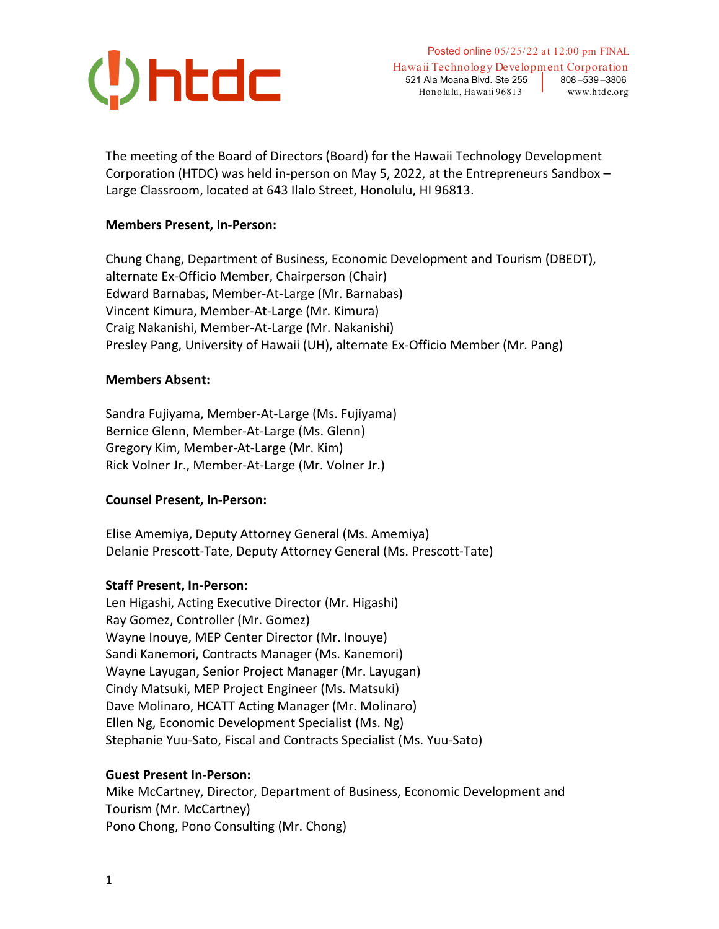

The meeting of the Board of Directors (Board) for the Hawaii Technology Development Corporation (HTDC) was held in-person on May 5, 2022, at the Entrepreneurs Sandbox – Large Classroom, located at 643 Ilalo Street, Honolulu, HI 96813.

## **Members Present, In-Person:**

Chung Chang, Department of Business, Economic Development and Tourism (DBEDT), alternate Ex-Officio Member, Chairperson (Chair) Edward Barnabas, Member-At-Large (Mr. Barnabas) Vincent Kimura, Member-At-Large (Mr. Kimura) Craig Nakanishi, Member-At-Large (Mr. Nakanishi) Presley Pang, University of Hawaii (UH), alternate Ex-Officio Member (Mr. Pang)

#### **Members Absent:**

Sandra Fujiyama, Member-At-Large (Ms. Fujiyama) Bernice Glenn, Member-At-Large (Ms. Glenn) Gregory Kim, Member-At-Large (Mr. Kim) Rick Volner Jr., Member-At-Large (Mr. Volner Jr.)

## **Counsel Present, In-Person:**

Elise Amemiya, Deputy Attorney General (Ms. Amemiya) Delanie Prescott-Tate, Deputy Attorney General (Ms. Prescott-Tate)

#### **Staff Present, In-Person:**

Len Higashi, Acting Executive Director (Mr. Higashi) Ray Gomez, Controller (Mr. Gomez) Wayne Inouye, MEP Center Director (Mr. Inouye) Sandi Kanemori, Contracts Manager (Ms. Kanemori) Wayne Layugan, Senior Project Manager (Mr. Layugan) Cindy Matsuki, MEP Project Engineer (Ms. Matsuki) Dave Molinaro, HCATT Acting Manager (Mr. Molinaro) Ellen Ng, Economic Development Specialist (Ms. Ng) Stephanie Yuu-Sato, Fiscal and Contracts Specialist (Ms. Yuu-Sato)

#### **Guest Present In-Person:**

Mike McCartney, Director, Department of Business, Economic Development and Tourism (Mr. McCartney) Pono Chong, Pono Consulting (Mr. Chong)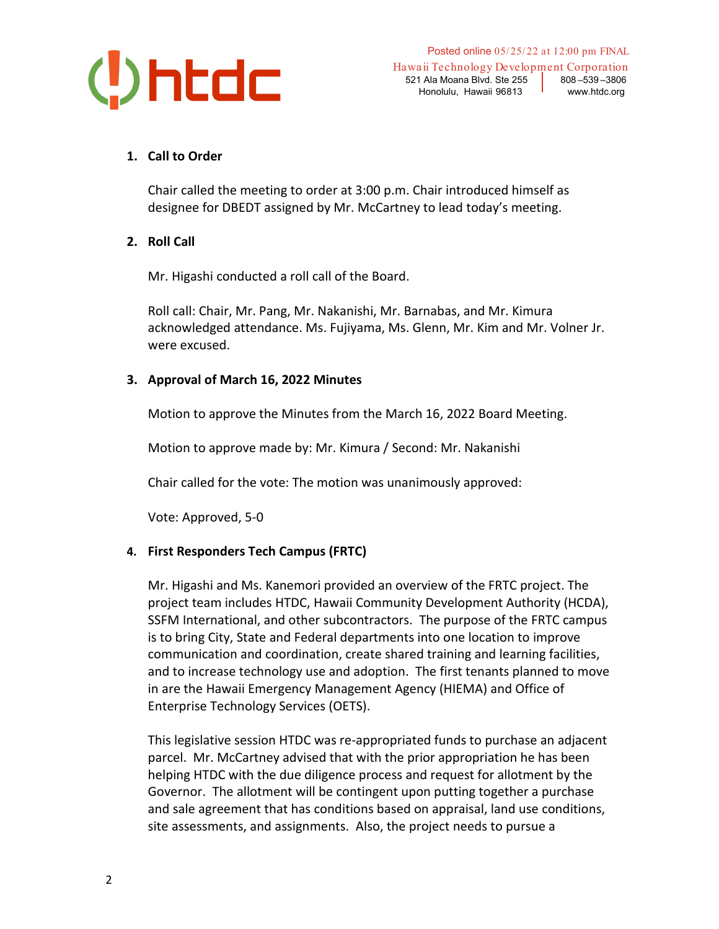

Hawaii Technology Development Corporation 521 Ala Moana Blvd. Ste 255 808-539-3806 Honolulu, Hawaii 96813 Vww.htdc.org

# **1. Call to Order**

Chair called the meeting to order at 3:00 p.m. Chair introduced himself as designee for DBEDT assigned by Mr. McCartney to lead today's meeting.

## **2. Roll Call**

Mr. Higashi conducted a roll call of the Board.

Roll call: Chair, Mr. Pang, Mr. Nakanishi, Mr. Barnabas, and Mr. Kimura acknowledged attendance. Ms. Fujiyama, Ms. Glenn, Mr. Kim and Mr. Volner Jr. were excused.

## **3. Approval of March 16, 2022 Minutes**

Motion to approve the Minutes from the March 16, 2022 Board Meeting.

Motion to approve made by: Mr. Kimura / Second: Mr. Nakanishi

Chair called for the vote: The motion was unanimously approved:

Vote: Approved, 5-0

## **4. First Responders Tech Campus (FRTC)**

Mr. Higashi and Ms. Kanemori provided an overview of the FRTC project. The project team includes HTDC, Hawaii Community Development Authority (HCDA), SSFM International, and other subcontractors. The purpose of the FRTC campus is to bring City, State and Federal departments into one location to improve communication and coordination, create shared training and learning facilities, and to increase technology use and adoption. The first tenants planned to move in are the Hawaii Emergency Management Agency (HIEMA) and Office of Enterprise Technology Services (OETS).

This legislative session HTDC was re-appropriated funds to purchase an adjacent parcel. Mr. McCartney advised that with the prior appropriation he has been helping HTDC with the due diligence process and request for allotment by the Governor. The allotment will be contingent upon putting together a purchase and sale agreement that has conditions based on appraisal, land use conditions, site assessments, and assignments. Also, the project needs to pursue a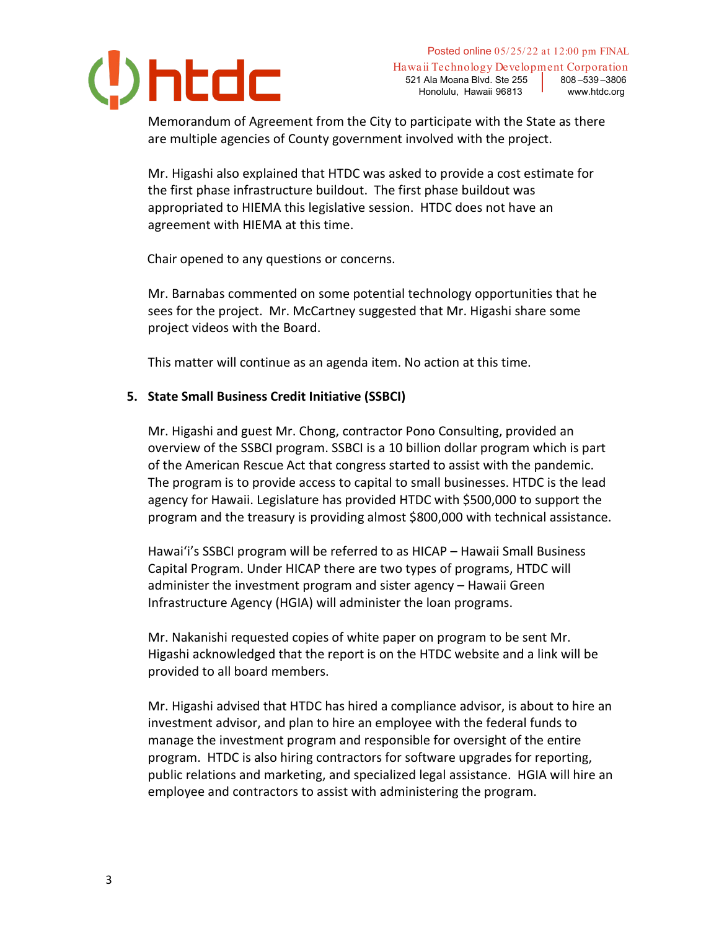

Posted online 05/25/22 at 12:00 pm FINAL

Hawaii Technology Development Corporation 521 Ala Moana Blvd. Ste 255 808-539-3806 Honolulu, Hawaii 96813 vww.htdc.org

Memorandum of Agreement from the City to participate with the State as there are multiple agencies of County government involved with the project.

Mr. Higashi also explained that HTDC was asked to provide a cost estimate for the first phase infrastructure buildout. The first phase buildout was appropriated to HIEMA this legislative session. HTDC does not have an agreement with HIEMA at this time.

Chair opened to any questions or concerns.

Mr. Barnabas commented on some potential technology opportunities that he sees for the project. Mr. McCartney suggested that Mr. Higashi share some project videos with the Board.

This matter will continue as an agenda item. No action at this time.

## **5. State Small Business Credit Initiative (SSBCI)**

Mr. Higashi and guest Mr. Chong, contractor Pono Consulting, provided an overview of the SSBCI program. SSBCI is a 10 billion dollar program which is part of the American Rescue Act that congress started to assist with the pandemic. The program is to provide access to capital to small businesses. HTDC is the lead agency for Hawaii. Legislature has provided HTDC with \$500,000 to support the program and the treasury is providing almost \$800,000 with technical assistance.

Hawai'i's SSBCI program will be referred to as HICAP – Hawaii Small Business Capital Program. Under HICAP there are two types of programs, HTDC will administer the investment program and sister agency – Hawaii Green Infrastructure Agency (HGIA) will administer the loan programs.

Mr. Nakanishi requested copies of white paper on program to be sent Mr. Higashi acknowledged that the report is on the HTDC website and a link will be provided to all board members.

Mr. Higashi advised that HTDC has hired a compliance advisor, is about to hire an investment advisor, and plan to hire an employee with the federal funds to manage the investment program and responsible for oversight of the entire program. HTDC is also hiring contractors for software upgrades for reporting, public relations and marketing, and specialized legal assistance. HGIA will hire an employee and contractors to assist with administering the program.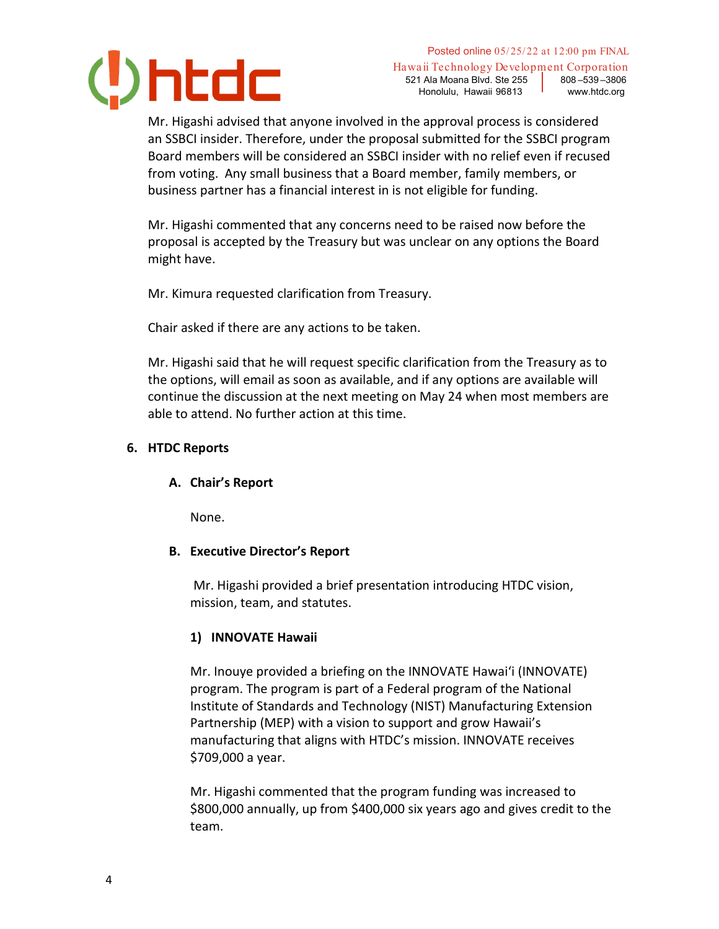

Hawaii Technology Development Corporation 521 Ala Moana Blvd. Ste 255 808-539-3806 Honolulu, Hawaii 96813 vww.htdc.org

Mr. Higashi advised that anyone involved in the approval process is considered an SSBCI insider. Therefore, under the proposal submitted for the SSBCI program Board members will be considered an SSBCI insider with no relief even if recused from voting. Any small business that a Board member, family members, or business partner has a financial interest in is not eligible for funding.

Mr. Higashi commented that any concerns need to be raised now before the proposal is accepted by the Treasury but was unclear on any options the Board might have.

Mr. Kimura requested clarification from Treasury.

Chair asked if there are any actions to be taken.

Mr. Higashi said that he will request specific clarification from the Treasury as to the options, will email as soon as available, and if any options are available will continue the discussion at the next meeting on May 24 when most members are able to attend. No further action at this time.

# **6. HTDC Reports**

## **A. Chair's Report**

None.

## **B. Executive Director's Report**

Mr. Higashi provided a brief presentation introducing HTDC vision, mission, team, and statutes.

## **1) INNOVATE Hawaii**

Mr. Inouye provided a briefing on the INNOVATE Hawai'i (INNOVATE) program. The program is part of a Federal program of the National Institute of Standards and Technology (NIST) Manufacturing Extension Partnership (MEP) with a vision to support and grow Hawaii's manufacturing that aligns with HTDC's mission. INNOVATE receives \$709,000 a year.

Mr. Higashi commented that the program funding was increased to \$800,000 annually, up from \$400,000 six years ago and gives credit to the team.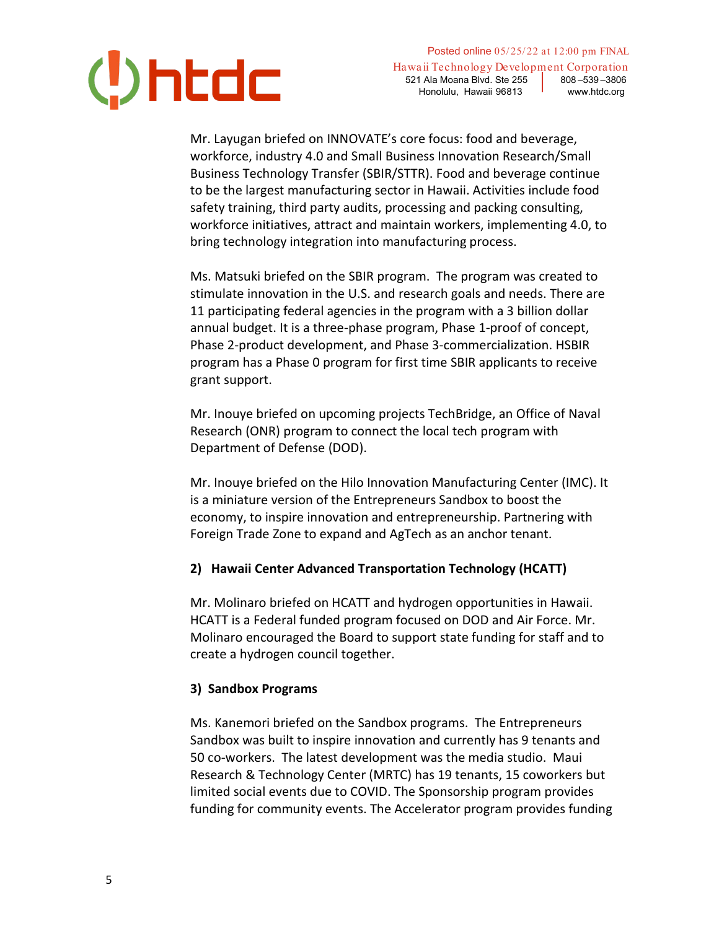

Posted online 05/25/22 at 12:00 pm FINAL Hawaii Technology Development Corporation 521 Ala Moana Blvd. Ste 255 808-539-3806 Honolulu, Hawaii 96813 Vww.htdc.org

Mr. Layugan briefed on INNOVATE's core focus: food and beverage, workforce, industry 4.0 and Small Business Innovation Research/Small Business Technology Transfer (SBIR/STTR). Food and beverage continue to be the largest manufacturing sector in Hawaii. Activities include food safety training, third party audits, processing and packing consulting, workforce initiatives, attract and maintain workers, implementing 4.0, to bring technology integration into manufacturing process.

Ms. Matsuki briefed on the SBIR program. The program was created to stimulate innovation in the U.S. and research goals and needs. There are 11 participating federal agencies in the program with a 3 billion dollar annual budget. It is a three-phase program, Phase 1-proof of concept, Phase 2-product development, and Phase 3-commercialization. HSBIR program has a Phase 0 program for first time SBIR applicants to receive grant support.

Mr. Inouye briefed on upcoming projects TechBridge, an Office of Naval Research (ONR) program to connect the local tech program with Department of Defense (DOD).

Mr. Inouye briefed on the Hilo Innovation Manufacturing Center (IMC). It is a miniature version of the Entrepreneurs Sandbox to boost the economy, to inspire innovation and entrepreneurship. Partnering with Foreign Trade Zone to expand and AgTech as an anchor tenant.

## **2) Hawaii Center Advanced Transportation Technology (HCATT)**

Mr. Molinaro briefed on HCATT and hydrogen opportunities in Hawaii. HCATT is a Federal funded program focused on DOD and Air Force. Mr. Molinaro encouraged the Board to support state funding for staff and to create a hydrogen council together.

#### **3) Sandbox Programs**

Ms. Kanemori briefed on the Sandbox programs. The Entrepreneurs Sandbox was built to inspire innovation and currently has 9 tenants and 50 co-workers. The latest development was the media studio. Maui Research & Technology Center (MRTC) has 19 tenants, 15 coworkers but limited social events due to COVID. The Sponsorship program provides funding for community events. The Accelerator program provides funding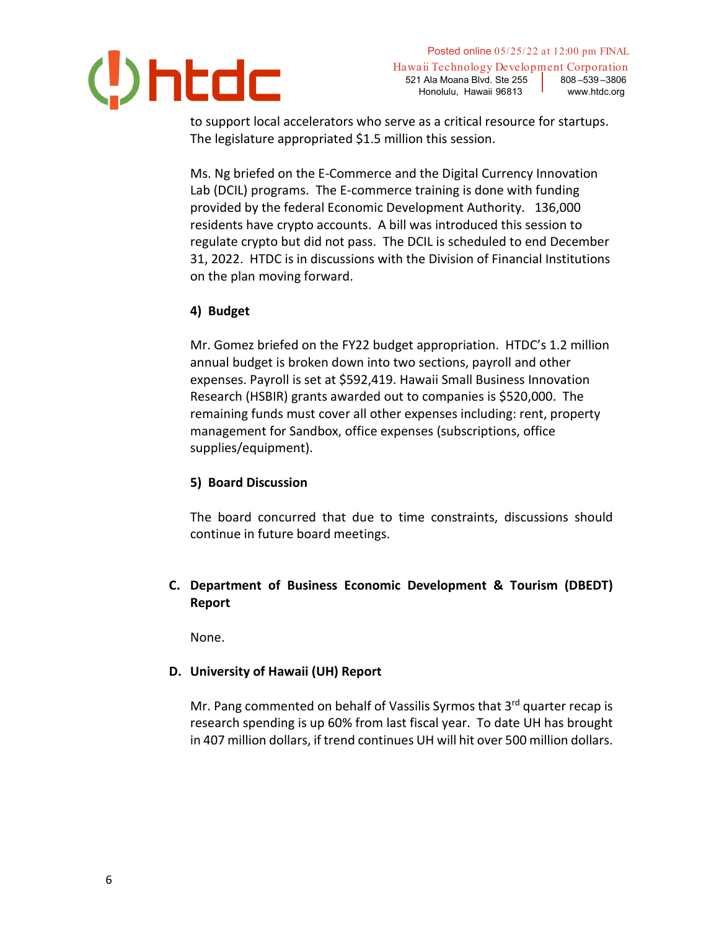

Hawaii Technology Development Corporation 521 Ala Moana Blvd. Ste 255 808-539-3806 Honolulu, Hawaii 96813 vww.htdc.org

to support local accelerators who serve as a critical resource for startups. The legislature appropriated \$1.5 million this session.

Ms. Ng briefed on the E-Commerce and the Digital Currency Innovation Lab (DCIL) programs. The E-commerce training is done with funding provided by the federal Economic Development Authority. 136,000 residents have crypto accounts. A bill was introduced this session to regulate crypto but did not pass. The DCIL is scheduled to end December 31, 2022. HTDC is in discussions with the Division of Financial Institutions on the plan moving forward.

# **4) Budget**

Mr. Gomez briefed on the FY22 budget appropriation. HTDC's 1.2 million annual budget is broken down into two sections, payroll and other expenses. Payroll is set at \$592,419. Hawaii Small Business Innovation Research (HSBIR) grants awarded out to companies is \$520,000. The remaining funds must cover all other expenses including: rent, property management for Sandbox, office expenses (subscriptions, office supplies/equipment).

## **5) Board Discussion**

The board concurred that due to time constraints, discussions should continue in future board meetings.

# **C. Department of Business Economic Development & Tourism (DBEDT) Report**

None.

## **D. University of Hawaii (UH) Report**

Mr. Pang commented on behalf of Vassilis Syrmos that 3<sup>rd</sup> quarter recap is research spending is up 60% from last fiscal year. To date UH has brought in 407 million dollars, if trend continues UH will hit over 500 million dollars.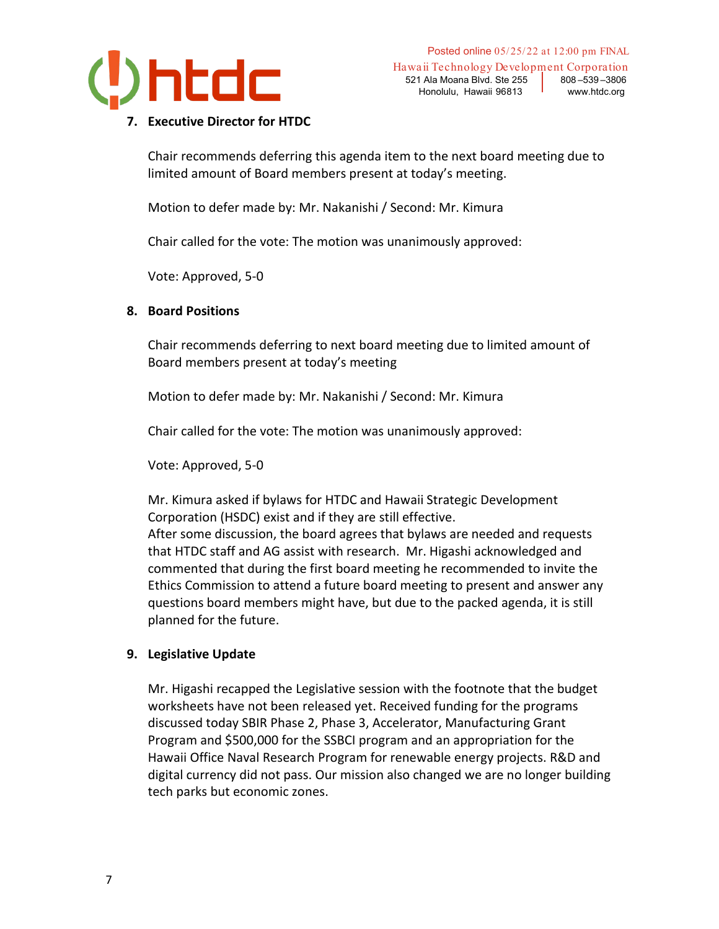

Hawaii Technology Development Corporation 521 Ala Moana Blvd. Ste 255 808-539-3806 Honolulu, Hawaii 96813 vww.htdc.org

#### **7. Executive Director for HTDC**

Chair recommends deferring this agenda item to the next board meeting due to limited amount of Board members present at today's meeting.

Motion to defer made by: Mr. Nakanishi / Second: Mr. Kimura

Chair called for the vote: The motion was unanimously approved:

Vote: Approved, 5-0

## **8. Board Positions**

Chair recommends deferring to next board meeting due to limited amount of Board members present at today's meeting

Motion to defer made by: Mr. Nakanishi / Second: Mr. Kimura

Chair called for the vote: The motion was unanimously approved:

Vote: Approved, 5-0

Mr. Kimura asked if bylaws for HTDC and Hawaii Strategic Development Corporation (HSDC) exist and if they are still effective.

After some discussion, the board agrees that bylaws are needed and requests that HTDC staff and AG assist with research. Mr. Higashi acknowledged and commented that during the first board meeting he recommended to invite the Ethics Commission to attend a future board meeting to present and answer any questions board members might have, but due to the packed agenda, it is still planned for the future.

## **9. Legislative Update**

Mr. Higashi recapped the Legislative session with the footnote that the budget worksheets have not been released yet. Received funding for the programs discussed today SBIR Phase 2, Phase 3, Accelerator, Manufacturing Grant Program and \$500,000 for the SSBCI program and an appropriation for the Hawaii Office Naval Research Program for renewable energy projects. R&D and digital currency did not pass. Our mission also changed we are no longer building tech parks but economic zones.